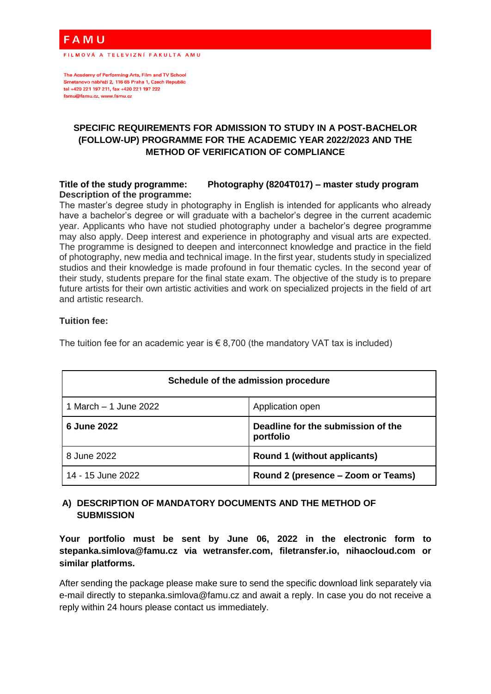A M U

FILMOVÁ A TELEVIZNÍ FAKULTA AMU

The Academy of Performing Arts, Film and TV School Smetanovo nábřeží 2, 116 65 Praha 1, Czech Republic tel +420 221 197 211, fax +420 221 197 222 famu@famu.cz, www.famu.cz

# **SPECIFIC REQUIREMENTS FOR ADMISSION TO STUDY IN A POST-BACHELOR (FOLLOW-UP) PROGRAMME FOR THE ACADEMIC YEAR 2022/2023 AND THE METHOD OF VERIFICATION OF COMPLIANCE**

#### **Title of the study programme: Photography (8204T017) – master study program Description of the programme:**

The master's degree study in photography in English is intended for applicants who already have a bachelor's degree or will graduate with a bachelor's degree in the current academic year. Applicants who have not studied photography under a bachelor's degree programme may also apply. Deep interest and experience in photography and visual arts are expected. The programme is designed to deepen and interconnect knowledge and practice in the field of photography, new media and technical image. In the first year, students study in specialized studios and their knowledge is made profound in four thematic cycles. In the second year of their study, students prepare for the final state exam. The objective of the study is to prepare future artists for their own artistic activities and work on specialized projects in the field of art and artistic research.

## **Tuition fee:**

The tuition fee for an academic year is  $\epsilon$  8,700 (the mandatory VAT tax is included)

| Schedule of the admission procedure |                                                 |
|-------------------------------------|-------------------------------------------------|
| 1 March – 1 June 2022               | Application open                                |
| 6 June 2022                         | Deadline for the submission of the<br>portfolio |
| 8 June 2022                         | Round 1 (without applicants)                    |
| 14 - 15 June 2022                   | Round 2 (presence – Zoom or Teams)              |

# **A) DESCRIPTION OF MANDATORY DOCUMENTS AND THE METHOD OF SUBMISSION**

**Your portfolio must be sent by June 06, 2022 in the electronic form to stepanka.simlova@famu.cz via wetransfer.com, filetransfer.io, nihaocloud.com or similar platforms.**

After sending the package please make sure to send the specific download link separately via e-mail directly to stepanka.simlova@famu.cz and await a reply. In case you do not receive a reply within 24 hours please contact us immediately.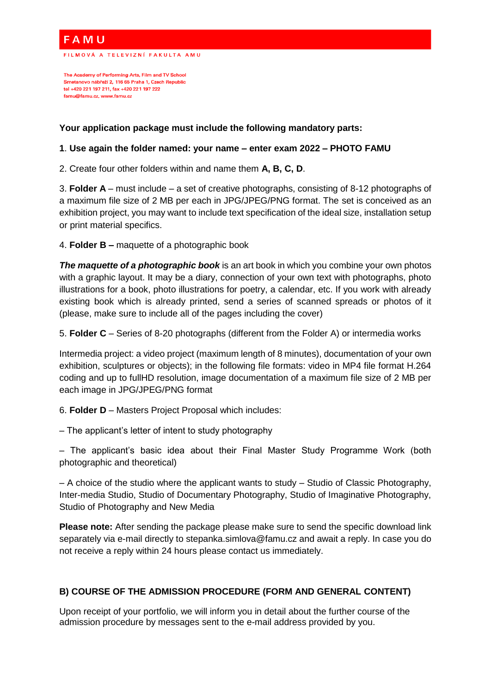A M U

.<br>FILMOVÁ A TELEVIZNÍ FAKULTA AMU

The Academy of Performing Arts, Film and TV School Smetanovo nábřeží 2, 116 65 Praha 1, Czech Republic tel +420 221 197 211, fax +420 221 197 222 famu@famu.cz, www.famu.cz

## **Your application package must include the following mandatory parts:**

## **1**. **Use again the folder named: your name – enter exam 2022 – PHOTO FAMU**

2. Create four other folders within and name them **A, B, C, D**.

3. **Folder A** – must include – a set of creative photographs, consisting of 8-12 photographs of a maximum file size of 2 MB per each in JPG/JPEG/PNG format. The set is conceived as an exhibition project, you may want to include text specification of the ideal size, installation setup or print material specifics.

4. **Folder B –** maquette of a photographic book

**The maquette of a photographic book** is an art book in which you combine your own photos with a graphic layout. It may be a diary, connection of your own text with photographs, photo illustrations for a book, photo illustrations for poetry, a calendar, etc. If you work with already existing book which is already printed, send a series of scanned spreads or photos of it (please, make sure to include all of the pages including the cover)

5. **Folder C** – Series of 8-20 photographs (different from the Folder A) or intermedia works

Intermedia project: a video project (maximum length of 8 minutes), documentation of your own exhibition, sculptures or objects); in the following file formats: video in MP4 file format H.264 coding and up to fullHD resolution, image documentation of a maximum file size of 2 MB per each image in JPG/JPEG/PNG format

6. **Folder D** – Masters Project Proposal which includes:

– The applicant's letter of intent to study photography

– The applicant's basic idea about their Final Master Study Programme Work (both photographic and theoretical)

– A choice of the studio where the applicant wants to study – Studio of Classic Photography, Inter-media Studio, Studio of Documentary Photography, Studio of Imaginative Photography, Studio of Photography and New Media

**Please note:** After sending the package please make sure to send the specific download link separately via e-mail directly to stepanka.simlova@famu.cz and await a reply. In case you do not receive a reply within 24 hours please contact us immediately.

## **B) COURSE OF THE ADMISSION PROCEDURE (FORM AND GENERAL CONTENT)**

Upon receipt of your portfolio, we will inform you in detail about the further course of the admission procedure by messages sent to the e-mail address provided by you.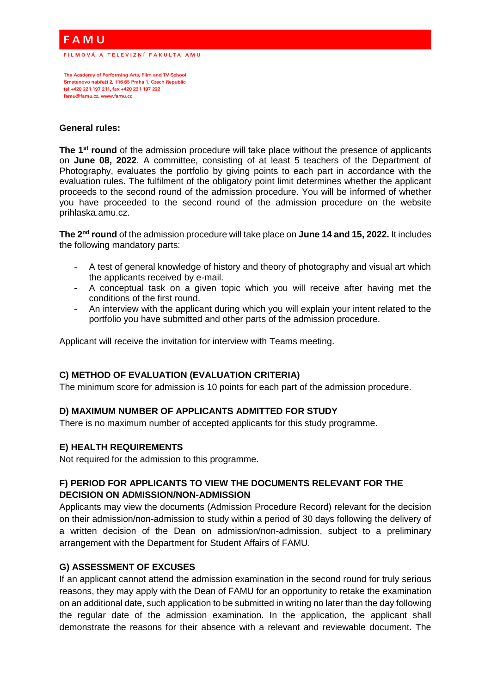# **AMU**

.<br>FILMOVÁ A TELEVIZNÍ FAKULTA AMU

The Academy of Performing Arts, Film and TV School Smetanovo nábřeží 2, 116 65 Praha 1, Czech Republic tel +420 221 197 211, fax +420 221 197 222 famu@famu.cz, www.famu.cz

#### **General rules:**

**The 1st round** of the admission procedure will take place without the presence of applicants on **June 08, 2022**. A committee, consisting of at least 5 teachers of the Department of Photography, evaluates the portfolio by giving points to each part in accordance with the evaluation rules. The fulfilment of the obligatory point limit determines whether the applicant proceeds to the second round of the admission procedure. You will be informed of whether you have proceeded to the second round of the admission procedure on the website prihlaska.amu.cz.

**The 2nd round** of the admission procedure will take place on **June 14 and 15, 2022.** It includes the following mandatory parts:

- A test of general knowledge of history and theory of photography and visual art which the applicants received by e-mail.
- A conceptual task on a given topic which you will receive after having met the conditions of the first round.
- An interview with the applicant during which you will explain your intent related to the portfolio you have submitted and other parts of the admission procedure.

Applicant will receive the invitation for interview with Teams meeting.

## **C) METHOD OF EVALUATION (EVALUATION CRITERIA)**

The minimum score for admission is 10 points for each part of the admission procedure.

## **D) MAXIMUM NUMBER OF APPLICANTS ADMITTED FOR STUDY**

There is no maximum number of accepted applicants for this study programme.

## **E) HEALTH REQUIREMENTS**

Not required for the admission to this programme.

## **F) PERIOD FOR APPLICANTS TO VIEW THE DOCUMENTS RELEVANT FOR THE DECISION ON ADMISSION/NON-ADMISSION**

Applicants may view the documents (Admission Procedure Record) relevant for the decision on their admission/non-admission to study within a period of 30 days following the delivery of a written decision of the Dean on admission/non-admission, subject to a preliminary arrangement with the Department for Student Affairs of FAMU.

## **G) ASSESSMENT OF EXCUSES**

If an applicant cannot attend the admission examination in the second round for truly serious reasons, they may apply with the Dean of FAMU for an opportunity to retake the examination on an additional date, such application to be submitted in writing no later than the day following the regular date of the admission examination. In the application, the applicant shall demonstrate the reasons for their absence with a relevant and reviewable document. The